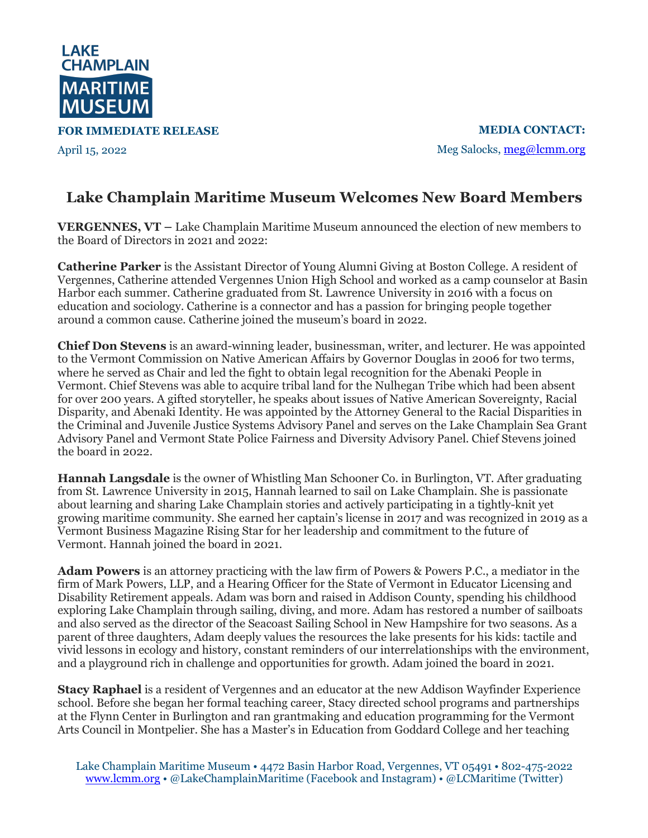

**FOR IMMEDIATE RELEASE**

April 15, 2022

**MEDIA CONTACT:** Meg Salocks, meg@lcmm.org

## **Lake Champlain Maritime Museum Welcomes New Board Members**

**VERGENNES, VT –** Lake Champlain Maritime Museum announced the election of new members to the Board of Directors in 2021 and 2022:

**Catherine Parker** is the Assistant Director of Young Alumni Giving at Boston College. A resident of Vergennes, Catherine attended Vergennes Union High School and worked as a camp counselor at Basin Harbor each summer. Catherine graduated from St. Lawrence University in 2016 with a focus on education and sociology. Catherine is a connector and has a passion for bringing people together around a common cause. Catherine joined the museum's board in 2022.

**Chief Don Stevens** is an award-winning leader, businessman, writer, and lecturer. He was appointed to the Vermont Commission on Native American Affairs by Governor Douglas in 2006 for two terms, where he served as Chair and led the fight to obtain legal recognition for the Abenaki People in Vermont. Chief Stevens was able to acquire tribal land for the Nulhegan Tribe which had been absent for over 200 years. A gifted storyteller, he speaks about issues of Native American Sovereignty, Racial Disparity, and Abenaki Identity. He was appointed by the Attorney General to the Racial Disparities in the Criminal and Juvenile Justice Systems Advisory Panel and serves on the Lake Champlain Sea Grant Advisory Panel and Vermont State Police Fairness and Diversity Advisory Panel. Chief Stevens joined the board in 2022.

**Hannah Langsdale** is the owner of Whistling Man Schooner Co. in Burlington, VT. After graduating from St. Lawrence University in 2015, Hannah learned to sail on Lake Champlain. She is passionate about learning and sharing Lake Champlain stories and actively participating in a tightly-knit yet growing maritime community. She earned her captain's license in 2017 and was recognized in 2019 as a Vermont Business Magazine Rising Star for her leadership and commitment to the future of Vermont. Hannah joined the board in 2021.

**Adam Powers** is an attorney practicing with the law firm of Powers & Powers P.C., a mediator in the firm of Mark Powers, LLP, and a Hearing Officer for the State of Vermont in Educator Licensing and Disability Retirement appeals. Adam was born and raised in Addison County, spending his childhood exploring Lake Champlain through sailing, diving, and more. Adam has restored a number of sailboats and also served as the director of the Seacoast Sailing School in New Hampshire for two seasons. As a parent of three daughters, Adam deeply values the resources the lake presents for his kids: tactile and vivid lessons in ecology and history, constant reminders of our interrelationships with the environment, and a playground rich in challenge and opportunities for growth. Adam joined the board in 2021.

**Stacy Raphael** is a resident of Vergennes and an educator at the new Addison Wayfinder Experience school. Before she began her formal teaching career, Stacy directed school programs and partnerships at the Flynn Center in Burlington and ran grantmaking and education programming for the Vermont Arts Council in Montpelier. She has a Master's in Education from Goddard College and her teaching